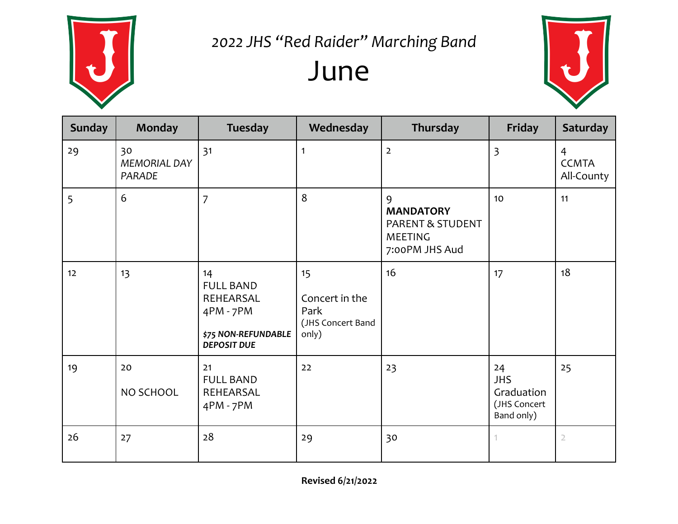

#### 2022 JHS "Red Raider" Marching Band June



| <b>Sunday</b> | <b>Monday</b>                | <b>Tuesday</b>                                                                                | Wednesday                                                  | Thursday                                                                      | Friday                                                       | <b>Saturday</b>                              |
|---------------|------------------------------|-----------------------------------------------------------------------------------------------|------------------------------------------------------------|-------------------------------------------------------------------------------|--------------------------------------------------------------|----------------------------------------------|
| 29            | 30<br>MEMORIAL DAY<br>PARADE | 31                                                                                            | 1                                                          | $\overline{2}$                                                                | $\overline{3}$                                               | $\overline{4}$<br><b>CCMTA</b><br>All-County |
| 5             | 6                            | $\overline{7}$                                                                                | 8                                                          | 9<br><b>MANDATORY</b><br>PARENT & STUDENT<br><b>MEETING</b><br>7:00PM JHS Aud | 10                                                           | 11                                           |
| 12            | 13                           | 14<br><b>FULL BAND</b><br>REHEARSAL<br>4PM - 7PM<br>\$75 NON-REFUNDABLE<br><b>DEPOSIT DUE</b> | 15<br>Concert in the<br>Park<br>(JHS Concert Band<br>only) | 16                                                                            | 17                                                           | 18                                           |
| 19            | 20<br>NO SCHOOL              | 21<br><b>FULL BAND</b><br>REHEARSAL<br>4PM - 7PM                                              | 22                                                         | 23                                                                            | 24<br><b>JHS</b><br>Graduation<br>(JHS Concert<br>Band only) | 25                                           |
| 26            | 27                           | 28                                                                                            | 29                                                         | 30                                                                            |                                                              | $\mathbf{2}$                                 |

**Revised 6/21/2022**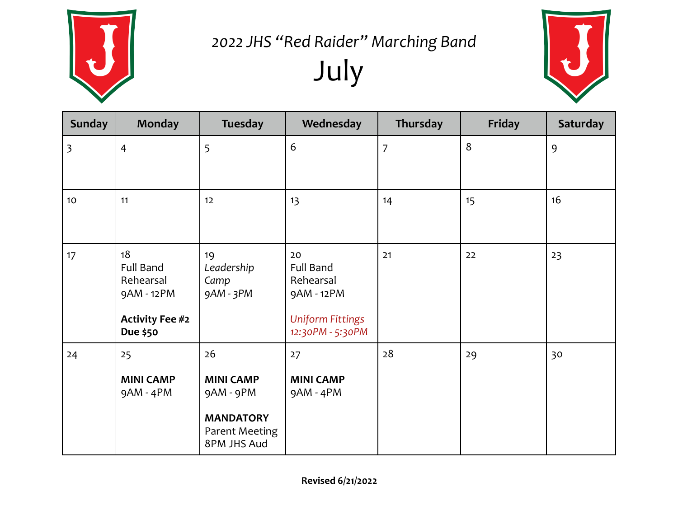

# 2022 JHS "Red Raider" Marching Band July



| <b>Sunday</b>           | <b>Monday</b>                                                                           | <b>Tuesday</b>                                                                           | Wednesday                                                                                        | Thursday       | Friday | Saturday |
|-------------------------|-----------------------------------------------------------------------------------------|------------------------------------------------------------------------------------------|--------------------------------------------------------------------------------------------------|----------------|--------|----------|
| $\overline{\mathbf{3}}$ | $\overline{4}$                                                                          | 5                                                                                        | 6                                                                                                | $\overline{7}$ | 8      | 9        |
| 10                      | 11                                                                                      | 12                                                                                       | 13                                                                                               | 14             | 15     | 16       |
| 17                      | 18<br><b>Full Band</b><br>Rehearsal<br>9AM - 12PM<br><b>Activity Fee #2</b><br>Due \$50 | 19<br>Leadership<br>Camp<br>9AM - 3PM                                                    | 20<br><b>Full Band</b><br>Rehearsal<br>9AM - 12PM<br><b>Uniform Fittings</b><br>12:30PM - 5:30PM | 21             | 22     | 23       |
| 24                      | 25<br><b>MINI CAMP</b><br>9AM - 4PM                                                     | 26<br><b>MINI CAMP</b><br>9AM - 9PM<br><b>MANDATORY</b><br>Parent Meeting<br>8PM JHS Aud | 27<br><b>MINI CAMP</b><br>9AM - 4PM                                                              | 28             | 29     | 30       |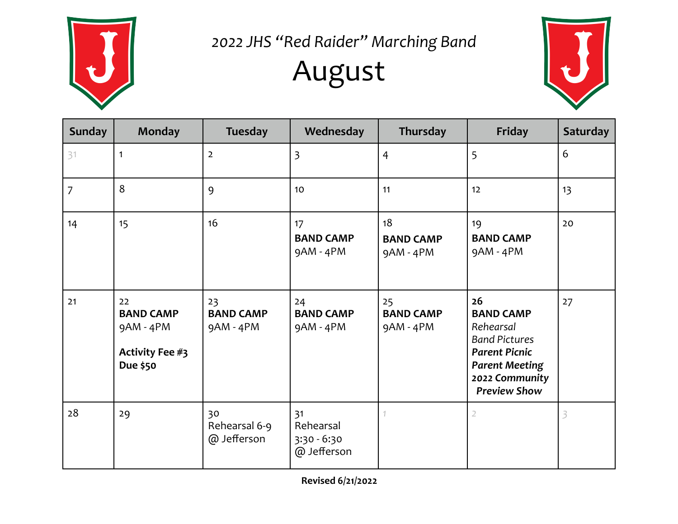

2022 JHS "Red Raider" Marching Band

## August



| <b>Sunday</b>  | <b>Monday</b>                                                        | <b>Tuesday</b>                      | Wednesday                                       | Thursday                              | Friday                                                                                                                                                | <b>Saturday</b> |
|----------------|----------------------------------------------------------------------|-------------------------------------|-------------------------------------------------|---------------------------------------|-------------------------------------------------------------------------------------------------------------------------------------------------------|-----------------|
| 31             | $\mathbf{1}$                                                         | $\overline{2}$                      | $\overline{\mathbf{3}}$                         | $\overline{4}$                        | 5                                                                                                                                                     | 6               |
| $\overline{7}$ | 8                                                                    | 9                                   | 10                                              | 11                                    | 12                                                                                                                                                    | 13              |
| 14             | 15                                                                   | 16                                  | 17<br><b>BAND CAMP</b><br>9AM - 4PM             | 18<br><b>BAND CAMP</b><br>$9AM - 4PM$ | 19<br><b>BAND CAMP</b><br>9AM - 4PM                                                                                                                   | 20              |
| 21             | 22<br><b>BAND CAMP</b><br>$9AM - 4PM$<br>Activity Fee #3<br>Due \$50 | 23<br><b>BAND CAMP</b><br>9AM - 4PM | 24<br><b>BAND CAMP</b><br>9AM - 4PM             | 25<br><b>BAND CAMP</b><br>9AM - 4PM   | 26<br><b>BAND CAMP</b><br>Rehearsal<br><b>Band Pictures</b><br><b>Parent Picnic</b><br><b>Parent Meeting</b><br>2022 Community<br><b>Preview Show</b> | 27              |
| 28             | 29                                                                   | 30<br>Rehearsal 6-9<br>@ Jefferson  | 31<br>Rehearsal<br>$3:30 - 6:30$<br>@ Jefferson |                                       | $\overline{2}$                                                                                                                                        | 3               |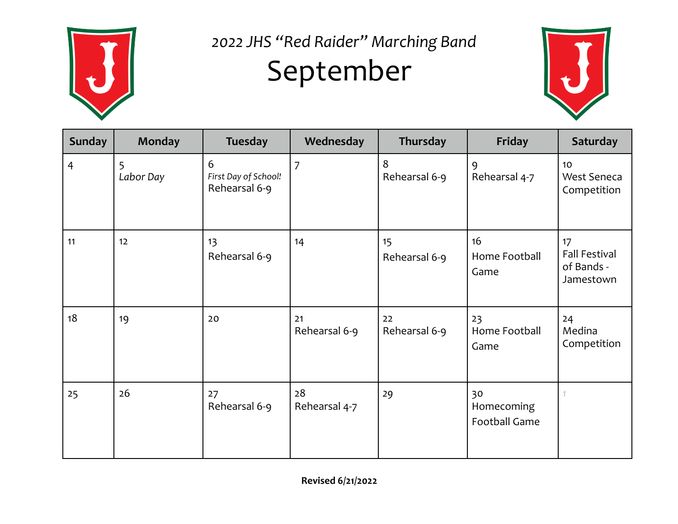

### 2022 JHS "Red Raider" Marching Band September



| <b>Sunday</b>  | <b>Monday</b>  | <b>Tuesday</b>                             | Wednesday           | Thursday            | Friday                            | <b>Saturday</b>                                       |
|----------------|----------------|--------------------------------------------|---------------------|---------------------|-----------------------------------|-------------------------------------------------------|
| $\overline{4}$ | 5<br>Labor Day | 6<br>First Day of School!<br>Rehearsal 6-9 | $\overline{7}$      | 8<br>Rehearsal 6-9  | 9<br>Rehearsal 4-7                | 10<br><b>West Seneca</b><br>Competition               |
| 11             | 12             | 13<br>Rehearsal 6-9                        | 14                  | 15<br>Rehearsal 6-9 | 16<br>Home Football<br>Game       | 17<br><b>Fall Festival</b><br>of Bands -<br>Jamestown |
| 18             | 19             | 20                                         | 21<br>Rehearsal 6-9 | 22<br>Rehearsal 6-9 | 23<br>Home Football<br>Game       | 24<br>Medina<br>Competition                           |
| 25             | 26             | 27<br>Rehearsal 6-9                        | 28<br>Rehearsal 4-7 | 29                  | 30<br>Homecoming<br>Football Game |                                                       |

**Revised 6/21/2022**